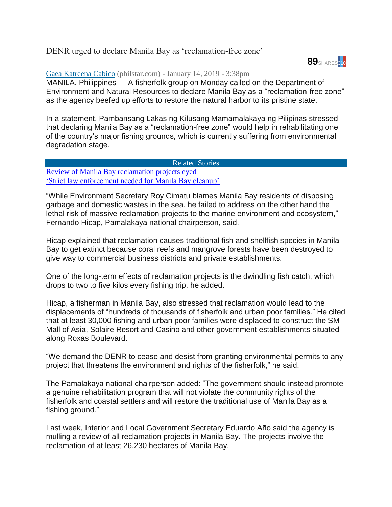## DENR urged to declare Manila Bay as 'reclamation-free zone'



## [Gaea Katreena Cabico](https://www.philstar.com/authors/1805246/gaea-katreena-cabico) (philstar.com) - January 14, 2019 - 3:38pm

MANILA, Philippines — A fisherfolk group on Monday called on the Department of Environment and Natural Resources to declare Manila Bay as a "reclamation-free zone" as the agency beefed up efforts to restore the natural harbor to its pristine state.

In a statement, Pambansang Lakas ng Kilusang Mamamalakaya ng Pilipinas stressed that declaring Manila Bay as a "reclamation-free zone" would help in rehabilitating one of the country's major fishing grounds, which is currently suffering from environmental degradation stage.

## Related Stories

[Review of Manila Bay reclamation projects eyed](https://www.philstar.com/nation/2019/01/11/1883993/review-manila-bay-reclamation-projects-eyed) ['Strict law enforcement needed for Manila Bay cleanup'](https://www.philstar.com/nation/2019/01/14/1884803/strict-law-enforcement-needed-manila-bay-cleanup)

"While Environment Secretary Roy Cimatu blames Manila Bay residents of disposing garbage and domestic wastes in the sea, he failed to address on the other hand the lethal risk of massive reclamation projects to the marine environment and ecosystem," Fernando Hicap, Pamalakaya national chairperson, said.

Hicap explained that reclamation causes traditional fish and shellfish species in Manila Bay to get extinct because coral reefs and mangrove forests have been destroyed to give way to commercial business districts and private establishments.

One of the long-term effects of reclamation projects is the dwindling fish catch, which drops to two to five kilos every fishing trip, he added.

Hicap, a fisherman in Manila Bay, also stressed that reclamation would lead to the displacements of "hundreds of thousands of fisherfolk and urban poor families." He cited that at least 30,000 fishing and urban poor families were displaced to construct the SM Mall of Asia, Solaire Resort and Casino and other government establishments situated along Roxas Boulevard.

"We demand the DENR to cease and desist from granting environmental permits to any project that threatens the environment and rights of the fisherfolk," he said.

The Pamalakaya national chairperson added: "The government should instead promote a genuine rehabilitation program that will not violate the community rights of the fisherfolk and coastal settlers and will restore the traditional use of Manila Bay as a fishing ground."

Last week, Interior and Local Government Secretary Eduardo Año said the agency is mulling a review of all reclamation projects in Manila Bay. The projects involve the reclamation of at least 26,230 hectares of Manila Bay.